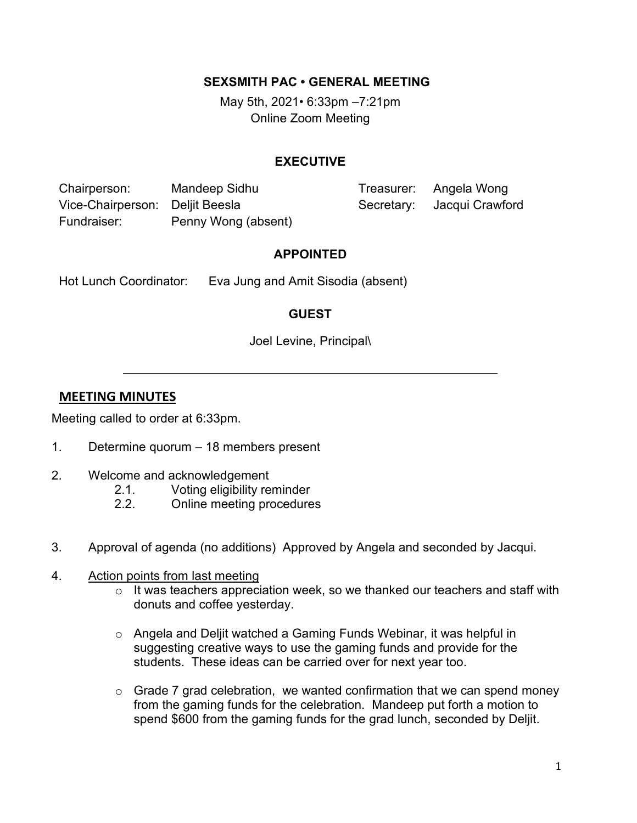#### **SEXSMITH PAC • GENERAL MEETING**

May 5th, 2021*•* 6:33pm –7:21pm Online Zoom Meeting

#### **EXECUTIVE**

Chairperson: Mandeep Sidhu Treasurer: Angela Wong Vice-Chairperson: Deljit Beesla Secretary: Jacqui Crawford Fundraiser: Penny Wong (absent)

### **APPOINTED**

Hot Lunch Coordinator: Eva Jung and Amit Sisodia (absent)

# **GUEST**

Joel Levine, Principal\

# **MEETING MINUTES**

Meeting called to order at 6:33pm.

- 1. Determine quorum 18 members present
- 2. Welcome and acknowledgement
	- 2.1. Voting eligibility reminder
	- 2.2. Online meeting procedures
- 3. Approval of agenda (no additions) Approved by Angela and seconded by Jacqui.
- 4. Action points from last meeting
	- o It was teachers appreciation week, so we thanked our teachers and staff with donuts and coffee yesterday.
	- $\circ$  Angela and Deljit watched a Gaming Funds Webinar, it was helpful in suggesting creative ways to use the gaming funds and provide for the students. These ideas can be carried over for next year too.
	- $\circ$  Grade 7 grad celebration, we wanted confirmation that we can spend money from the gaming funds for the celebration. Mandeep put forth a motion to spend \$600 from the gaming funds for the grad lunch, seconded by Deljit.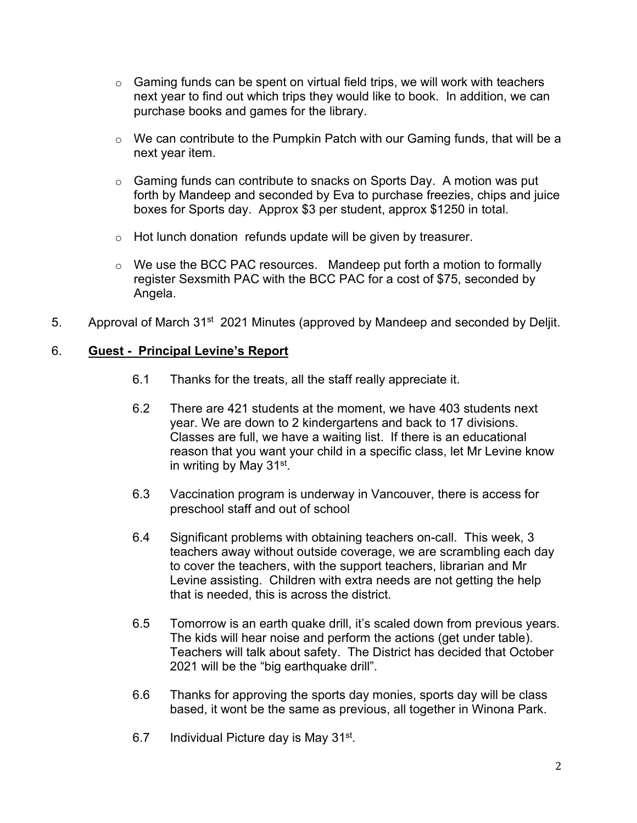- $\circ$  Gaming funds can be spent on virtual field trips, we will work with teachers next year to find out which trips they would like to book. In addition, we can purchase books and games for the library.
- $\circ$  We can contribute to the Pumpkin Patch with our Gaming funds, that will be a next year item.
- o Gaming funds can contribute to snacks on Sports Day. A motion was put forth by Mandeep and seconded by Eva to purchase freezies, chips and juice boxes for Sports day. Approx \$3 per student, approx \$1250 in total.
- o Hot lunch donation refunds update will be given by treasurer.
- o We use the BCC PAC resources. Mandeep put forth a motion to formally register Sexsmith PAC with the BCC PAC for a cost of \$75, seconded by Angela.
- 5. Approval of March 31<sup>st</sup> 2021 Minutes (approved by Mandeep and seconded by Deljit.

### 6. **Guest - Principal Levine's Report**

- 6.1 Thanks for the treats, all the staff really appreciate it.
- 6.2 There are 421 students at the moment, we have 403 students next year. We are down to 2 kindergartens and back to 17 divisions. Classes are full, we have a waiting list. If there is an educational reason that you want your child in a specific class, let Mr Levine know in writing by May 31st.
- 6.3 Vaccination program is underway in Vancouver, there is access for preschool staff and out of school
- 6.4 Significant problems with obtaining teachers on-call. This week, 3 teachers away without outside coverage, we are scrambling each day to cover the teachers, with the support teachers, librarian and Mr Levine assisting. Children with extra needs are not getting the help that is needed, this is across the district.
- 6.5 Tomorrow is an earth quake drill, it's scaled down from previous years. The kids will hear noise and perform the actions (get under table). Teachers will talk about safety. The District has decided that October 2021 will be the "big earthquake drill".
- 6.6 Thanks for approving the sports day monies, sports day will be class based, it wont be the same as previous, all together in Winona Park.
- 6.7 Individual Picture day is May 31st.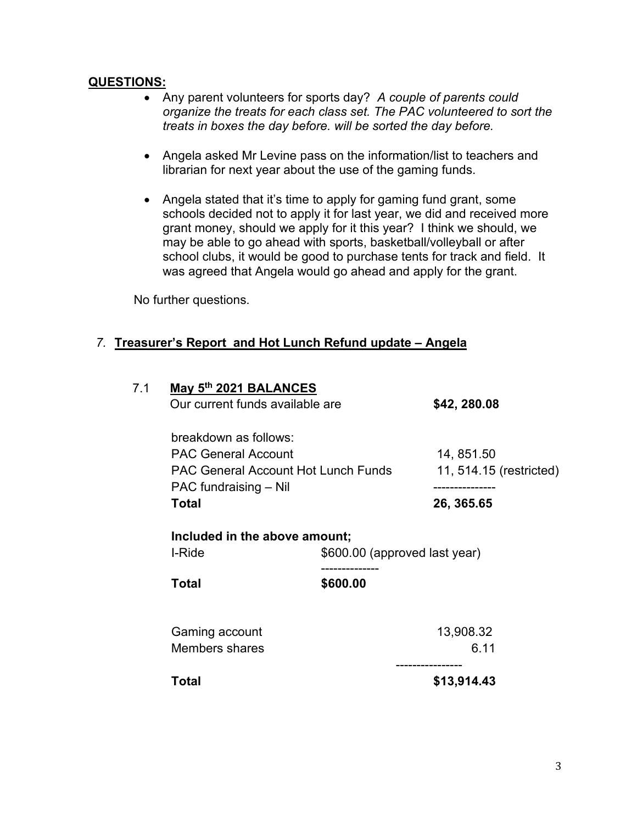### **QUESTIONS:**

- Any parent volunteers for sports day? *A couple of parents could organize the treats for each class set. The PAC volunteered to sort the treats in boxes the day before. will be sorted the day before.*
- Angela asked Mr Levine pass on the information/list to teachers and librarian for next year about the use of the gaming funds.
- Angela stated that it's time to apply for gaming fund grant, some schools decided not to apply it for last year, we did and received more grant money, should we apply for it this year? I think we should, we may be able to go ahead with sports, basketball/volleyball or after school clubs, it would be good to purchase tents for track and field. It was agreed that Angela would go ahead and apply for the grant.

No further questions.

# *7.* **Treasurer's Report and Hot Lunch Refund update – Angela**

| breakdown as follows:<br><b>PAC General Account</b><br>14, 851.50<br><b>PAC General Account Hot Lunch Funds</b><br>PAC fundraising - Nil<br>. <b>.</b> .<br><b>Total</b><br>26, 365.65<br>Included in the above amount;<br>I-Ride<br>\$600.00 (approved last year)<br>\$600.00<br><b>Total</b><br>Gaming account<br>13,908.32<br>Members shares<br>6.11<br>------------<br><b>Total</b><br>\$13,914.43 | 7.1 | May 5th 2021 BALANCES<br>Our current funds available are |  | \$42, 280.08<br>11, 514.15 (restricted) |  |
|--------------------------------------------------------------------------------------------------------------------------------------------------------------------------------------------------------------------------------------------------------------------------------------------------------------------------------------------------------------------------------------------------------|-----|----------------------------------------------------------|--|-----------------------------------------|--|
|                                                                                                                                                                                                                                                                                                                                                                                                        |     |                                                          |  |                                         |  |
|                                                                                                                                                                                                                                                                                                                                                                                                        |     |                                                          |  |                                         |  |
|                                                                                                                                                                                                                                                                                                                                                                                                        |     |                                                          |  |                                         |  |
|                                                                                                                                                                                                                                                                                                                                                                                                        |     |                                                          |  |                                         |  |
|                                                                                                                                                                                                                                                                                                                                                                                                        |     |                                                          |  |                                         |  |
|                                                                                                                                                                                                                                                                                                                                                                                                        |     |                                                          |  |                                         |  |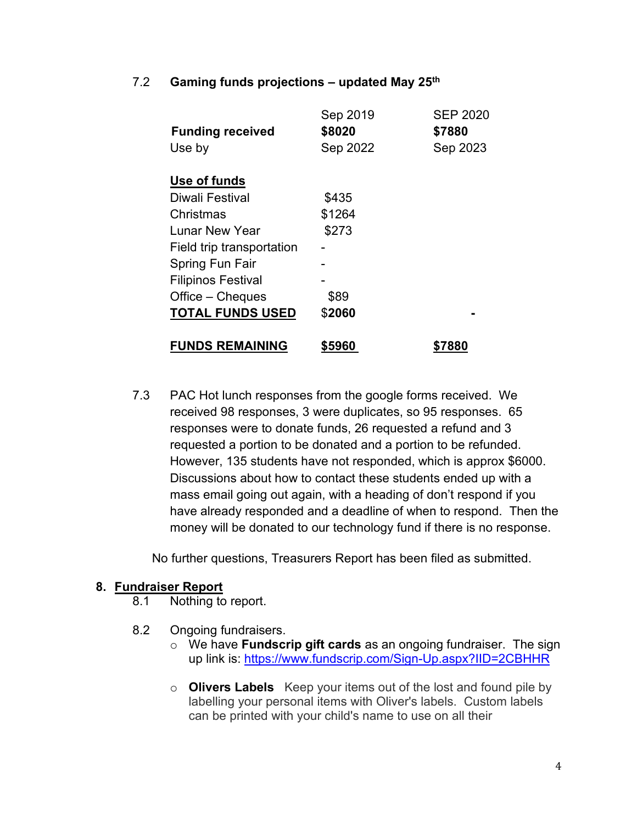### 7.2 **Gaming funds projections – updated May 25th**

|                           | Sep 2019 | <b>SEP 2020</b> |
|---------------------------|----------|-----------------|
| <b>Funding received</b>   | \$8020   | \$7880          |
| Use by                    | Sep 2022 | Sep 2023        |
|                           |          |                 |
| Use of funds              |          |                 |
| Diwali Festival           | \$435    |                 |
| Christmas                 | \$1264   |                 |
| Lunar New Year            | \$273    |                 |
| Field trip transportation |          |                 |
| Spring Fun Fair           |          |                 |
| <b>Filipinos Festival</b> |          |                 |
| Office – Cheques          | \$89     |                 |
| <b>TOTAL FUNDS USED</b>   | \$2060   |                 |
| <b>FUNDS REMAINING</b>    | \$5960   |                 |
|                           |          | \$7880          |

7.3 PAC Hot lunch responses from the google forms received. We received 98 responses, 3 were duplicates, so 95 responses. 65 responses were to donate funds, 26 requested a refund and 3 requested a portion to be donated and a portion to be refunded. However, 135 students have not responded, which is approx \$6000. Discussions about how to contact these students ended up with a mass email going out again, with a heading of don't respond if you have already responded and a deadline of when to respond. Then the money will be donated to our technology fund if there is no response.

No further questions, Treasurers Report has been filed as submitted.

#### **8. Fundraiser Report**

- 8.1 Nothing to report.
- 8.2 Ongoing fundraisers.
	- o We have **Fundscrip gift cards** as an ongoing fundraiser. The sign up link is:<https://www.fundscrip.com/Sign-Up.aspx?IID=2CBHHR>
	- o **Olivers Labels** Keep your items out of the lost and found pile by labelling your personal items with Oliver's labels. Custom labels can be printed with your child's name to use on all their